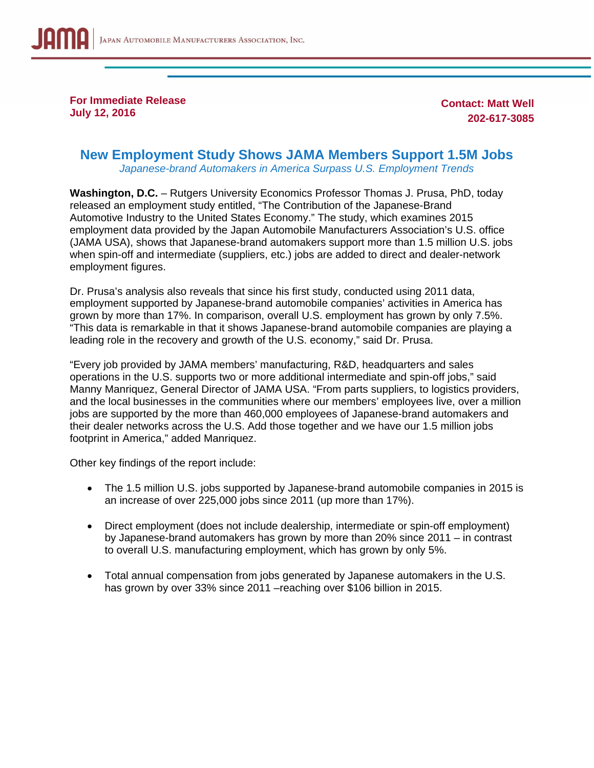

**For Immediate Release July 12, 2016** 

**Contact: Matt Well 202-617-3085** 

## **New Employment Study Shows JAMA Members Support 1.5M Jobs**

*Japanese-brand Automakers in America Surpass U.S. Employment Trends* 

**Washington, D.C.** – Rutgers University Economics Professor Thomas J. Prusa, PhD, today released an employment study entitled, "The Contribution of the Japanese-Brand Automotive Industry to the United States Economy." The study, which examines 2015 employment data provided by the Japan Automobile Manufacturers Association's U.S. office (JAMA USA), shows that Japanese-brand automakers support more than 1.5 million U.S. jobs when spin-off and intermediate (suppliers, etc.) jobs are added to direct and dealer-network employment figures.

Dr. Prusa's analysis also reveals that since his first study, conducted using 2011 data, employment supported by Japanese-brand automobile companies' activities in America has grown by more than 17%. In comparison, overall U.S. employment has grown by only 7.5%. "This data is remarkable in that it shows Japanese-brand automobile companies are playing a leading role in the recovery and growth of the U.S. economy," said Dr. Prusa.

"Every job provided by JAMA members' manufacturing, R&D, headquarters and sales operations in the U.S. supports two or more additional intermediate and spin-off jobs," said Manny Manriquez, General Director of JAMA USA. "From parts suppliers, to logistics providers, and the local businesses in the communities where our members' employees live, over a million jobs are supported by the more than 460,000 employees of Japanese-brand automakers and their dealer networks across the U.S. Add those together and we have our 1.5 million jobs footprint in America," added Manriquez.

Other key findings of the report include:

- The 1.5 million U.S. jobs supported by Japanese-brand automobile companies in 2015 is an increase of over 225,000 jobs since 2011 (up more than 17%).
- Direct employment (does not include dealership, intermediate or spin-off employment) by Japanese-brand automakers has grown by more than 20% since 2011 – in contrast to overall U.S. manufacturing employment, which has grown by only 5%.
- Total annual compensation from jobs generated by Japanese automakers in the U.S. has grown by over 33% since 2011 – reaching over \$106 billion in 2015.